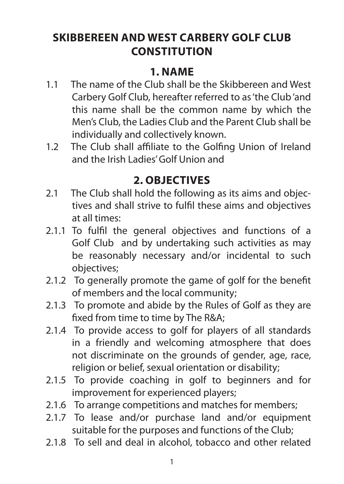# **SKIBBEREEN AND WEST CARBERY GOLF CLUB CONSTITUTION**

### **1. NAME**

- 1.1 The name of the Club shall be the Skibbereen and West Carbery Golf Club, hereafter referred to as 'the Club 'and this name shall be the common name by which the Men's Club, the Ladies Club and the Parent Club shall be individually and collectively known.
- 1.2 The Club shall affiliate to the Golfing Union of Ireland and the Irish Ladies' Golf Union and

### **2. OBJECTIVES**

- 2.1 The Club shall hold the following as its aims and objectives and shall strive to fulfil these aims and objectives at all times:
- 2.1.1 To fulfil the general objectives and functions of a Golf Club and by undertaking such activities as may be reasonably necessary and/or incidental to such objectives;
- 2.1.2 To generally promote the game of golf for the benefit of members and the local community;
- 2.1.3 To promote and abide by the Rules of Golf as they are fixed from time to time by The R&A;
- 2.1.4 To provide access to golf for players of all standards in a friendly and welcoming atmosphere that does not discriminate on the grounds of gender, age, race, religion or belief, sexual orientation or disability;
- 2.1.5 To provide coaching in golf to beginners and for improvement for experienced players;
- 2.1.6 To arrange competitions and matches for members;
- 2.1.7 To lease and/or purchase land and/or equipment suitable for the purposes and functions of the Club;
- 2.1.8 To sell and deal in alcohol, tobacco and other related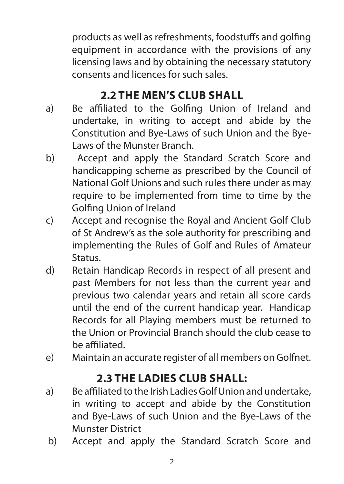products as well as refreshments, foodstuffs and golfing equipment in accordance with the provisions of any licensing laws and by obtaining the necessary statutory consents and licences for such sales.

# **2.2 THE MEN'S CLUB SHALL**

- a) Be affiliated to the Golfing Union of Ireland and undertake, in writing to accept and abide by the Constitution and Bye-Laws of such Union and the Bye-Laws of the Munster Branch.
- b) Accept and apply the Standard Scratch Score and handicapping scheme as prescribed by the Council of National Golf Unions and such rules there under as may require to be implemented from time to time by the Golfing Union of Ireland
- c) Accept and recognise the Royal and Ancient Golf Club of St Andrew's as the sole authority for prescribing and implementing the Rules of Golf and Rules of Amateur Status.
- d) Retain Handicap Records in respect of all present and past Members for not less than the current year and previous two calendar years and retain all score cards until the end of the current handicap year. Handicap Records for all Playing members must be returned to the Union or Provincial Branch should the club cease to be affiliated.
- e) Maintain an accurate register of all members on Golfnet.

## **2.3 THE LADIES CLUB SHALL:**

- a) Be affiliated to the Irish Ladies Golf Union and undertake, in writing to accept and abide by the Constitution and Bye-Laws of such Union and the Bye-Laws of the Munster District
- b) Accept and apply the Standard Scratch Score and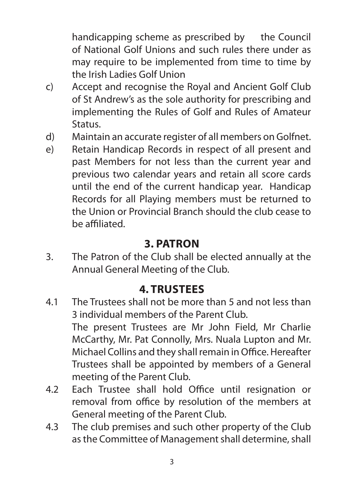handicapping scheme as prescribed by the Council of National Golf Unions and such rules there under as may require to be implemented from time to time by the Irish Ladies Golf Union

- c) Accept and recognise the Royal and Ancient Golf Club of St Andrew's as the sole authority for prescribing and implementing the Rules of Golf and Rules of Amateur Status.
- d) Maintain an accurate register of all members on Golfnet.
- e) Retain Handicap Records in respect of all present and past Members for not less than the current year and previous two calendar years and retain all score cards until the end of the current handicap year. Handicap Records for all Playing members must be returned to the Union or Provincial Branch should the club cease to be affiliated.

#### **3. PATRON**

3. The Patron of the Club shall be elected annually at the Annual General Meeting of the Club.

### **4. TRUSTEES**

- 4.1 The Trustees shall not be more than 5 and not less than 3 individual members of the Parent Club. The present Trustees are Mr John Field, Mr Charlie McCarthy, Mr. Pat Connolly, Mrs. Nuala Lupton and Mr. Michael Collins and they shall remain in Office. Hereafter Trustees shall be appointed by members of a General meeting of the Parent Club.
- 4.2 Each Trustee shall hold Office until resignation or removal from office by resolution of the members at General meeting of the Parent Club.
- 4.3 The club premises and such other property of the Club as the Committee of Management shall determine, shall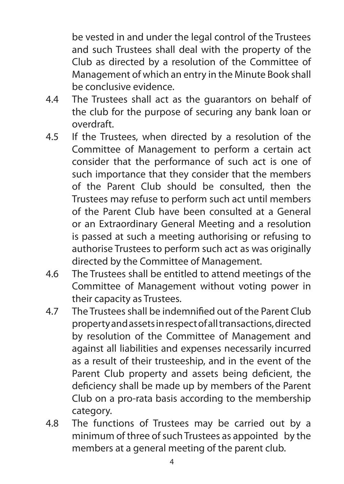be vested in and under the legal control of the Trustees and such Trustees shall deal with the property of the Club as directed by a resolution of the Committee of Management of which an entry in the Minute Book shall be conclusive evidence.

- 4.4 The Trustees shall act as the guarantors on behalf of the club for the purpose of securing any bank loan or overdraft.
- 4.5 If the Trustees, when directed by a resolution of the Committee of Management to perform a certain act consider that the performance of such act is one of such importance that they consider that the members of the Parent Club should be consulted, then the Trustees may refuse to perform such act until members of the Parent Club have been consulted at a General or an Extraordinary General Meeting and a resolution is passed at such a meeting authorising or refusing to authorise Trustees to perform such act as was originally directed by the Committee of Management.
- 4.6 The Trustees shall be entitled to attend meetings of the Committee of Management without voting power in their capacity as Trustees.
- 4.7 The Trustees shall be indemnified out of the Parent Club property and assets in respect of all transactions, directed by resolution of the Committee of Management and against all liabilities and expenses necessarily incurred as a result of their trusteeship, and in the event of the Parent Club property and assets being deficient, the deficiency shall be made up by members of the Parent Club on a pro-rata basis according to the membership category.
- 4.8 The functions of Trustees may be carried out by a minimum of three of such Trustees as appointed by the members at a general meeting of the parent club.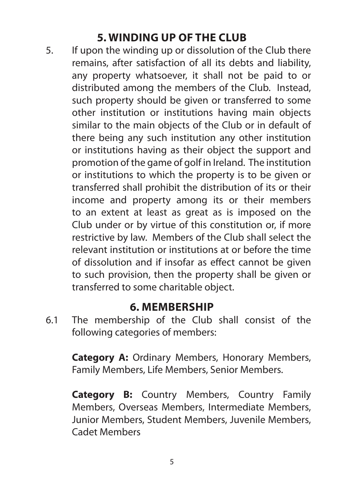## **5. WINDING UP OF THE CLUB**

5. If upon the winding up or dissolution of the Club there remains, after satisfaction of all its debts and liability, any property whatsoever, it shall not be paid to or distributed among the members of the Club. Instead, such property should be given or transferred to some other institution or institutions having main objects similar to the main objects of the Club or in default of there being any such institution any other institution or institutions having as their object the support and promotion of the game of golf in Ireland. The institution or institutions to which the property is to be given or transferred shall prohibit the distribution of its or their income and property among its or their members to an extent at least as great as is imposed on the Club under or by virtue of this constitution or, if more restrictive by law. Members of the Club shall select the relevant institution or institutions at or before the time of dissolution and if insofar as effect cannot be given to such provision, then the property shall be given or transferred to some charitable object.

#### **6. MEMBERSHIP**

6.1 The membership of the Club shall consist of the following categories of members:

**Category A:** Ordinary Members, Honorary Members, Family Members, Life Members, Senior Members.

**Category B:** Country Members, Country Family Members, Overseas Members, Intermediate Members, Junior Members, Student Members, Juvenile Members, Cadet Members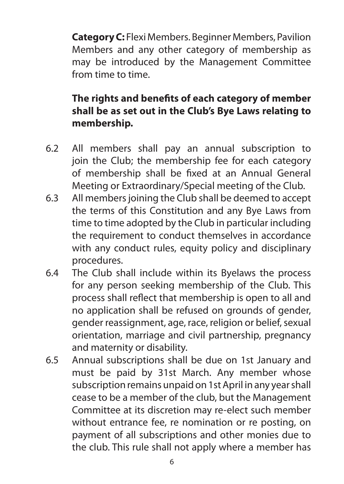**Category C:** Flexi Members. Beginner Members, Pavilion Members and any other category of membership as may be introduced by the Management Committee from time to time.

#### **The rights and benefits of each category of member shall be as set out in the Club's Bye Laws relating to membership.**

- 6.2 All members shall pay an annual subscription to join the Club; the membership fee for each category of membership shall be fixed at an Annual General Meeting or Extraordinary/Special meeting of the Club.
- 6.3 All members joining the Club shall be deemed to accept the terms of this Constitution and any Bye Laws from time to time adopted by the Club in particular including the requirement to conduct themselves in accordance with any conduct rules, equity policy and disciplinary procedures.
- 6.4 The Club shall include within its Byelaws the process for any person seeking membership of the Club. This process shall reflect that membership is open to all and no application shall be refused on grounds of gender, gender reassignment, age, race, religion or belief, sexual orientation, marriage and civil partnership, pregnancy and maternity or disability.
- 6.5 Annual subscriptions shall be due on 1st January and must be paid by 31st March. Any member whose subscription remains unpaid on 1st April in any year shall cease to be a member of the club, but the Management Committee at its discretion may re-elect such member without entrance fee, re nomination or re posting, on payment of all subscriptions and other monies due to the club. This rule shall not apply where a member has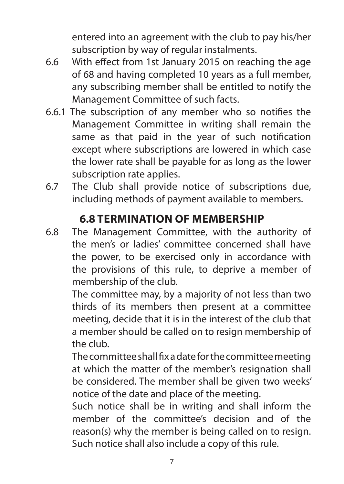entered into an agreement with the club to pay his/her subscription by way of regular instalments.

- 6.6 With effect from 1st January 2015 on reaching the age of 68 and having completed 10 years as a full member, any subscribing member shall be entitled to notify the Management Committee of such facts.
- 6.6.1 The subscription of any member who so notifies the Management Committee in writing shall remain the same as that paid in the year of such notification except where subscriptions are lowered in which case the lower rate shall be payable for as long as the lower subscription rate applies.
- 6.7 The Club shall provide notice of subscriptions due, including methods of payment available to members.

# **6.8 TERMINATION OF MEMBERSHIP**

6.8 The Management Committee, with the authority of the men's or ladies' committee concerned shall have the power, to be exercised only in accordance with the provisions of this rule, to deprive a member of membership of the club.

The committee may, by a majority of not less than two thirds of its members then present at a committee meeting, decide that it is in the interest of the club that a member should be called on to resign membership of the club.

The committee shall fix a date for the committee meeting at which the matter of the member's resignation shall be considered. The member shall be given two weeks' notice of the date and place of the meeting.

Such notice shall be in writing and shall inform the member of the committee's decision and of the reason(s) why the member is being called on to resign. Such notice shall also include a copy of this rule.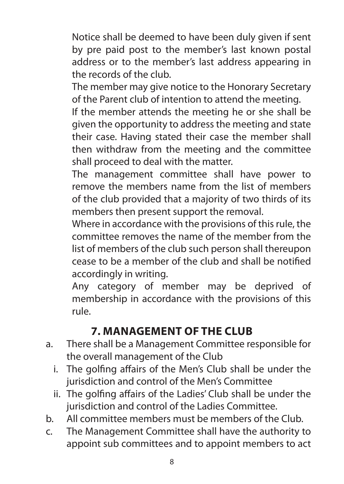Notice shall be deemed to have been duly given if sent by pre paid post to the member's last known postal address or to the member's last address appearing in the records of the club.

The member may give notice to the Honorary Secretary of the Parent club of intention to attend the meeting.

If the member attends the meeting he or she shall be given the opportunity to address the meeting and state their case. Having stated their case the member shall then withdraw from the meeting and the committee shall proceed to deal with the matter.

The management committee shall have power to remove the members name from the list of members of the club provided that a majority of two thirds of its members then present support the removal.

Where in accordance with the provisions of this rule, the committee removes the name of the member from the list of members of the club such person shall thereupon cease to be a member of the club and shall be notified accordingly in writing.

Any category of member may be deprived of membership in accordance with the provisions of this rule.

# **7. MANAGEMENT OF THE CLUB**

- a. There shall be a Management Committee responsible for the overall management of the Club
	- i. The golfing affairs of the Men's Club shall be under the jurisdiction and control of the Men's Committee
	- ii. The golfing affairs of the Ladies' Club shall be under the jurisdiction and control of the Ladies Committee.
- b. All committee members must be members of the Club.
- c. The Management Committee shall have the authority to appoint sub committees and to appoint members to act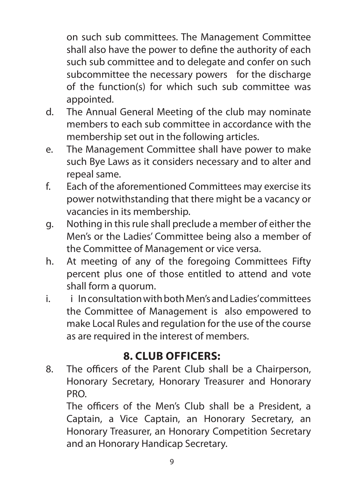on such sub committees. The Management Committee shall also have the power to define the authority of each such sub committee and to delegate and confer on such subcommittee the necessary powers for the discharge of the function(s) for which such sub committee was appointed.

- d. The Annual General Meeting of the club may nominate members to each sub committee in accordance with the membership set out in the following articles.
- e. The Management Committee shall have power to make such Bye Laws as it considers necessary and to alter and repeal same.
- f. Each of the aforementioned Committees may exercise its power notwithstanding that there might be a vacancy or vacancies in its membership.
- g. Nothing in this rule shall preclude a member of either the Men's or the Ladies' Committee being also a member of the Committee of Management or vice versa.
- h. At meeting of any of the foregoing Committees Fifty percent plus one of those entitled to attend and vote shall form a quorum.
- i. i In consultation with both Men's and Ladies' committees the Committee of Management is also empowered to make Local Rules and regulation for the use of the course as are required in the interest of members.

# **8. CLUB OFFICERS:**

8. The officers of the Parent Club shall be a Chairperson, Honorary Secretary, Honorary Treasurer and Honorary PRO.

The officers of the Men's Club shall be a President, a Captain, a Vice Captain, an Honorary Secretary, an Honorary Treasurer, an Honorary Competition Secretary and an Honorary Handicap Secretary.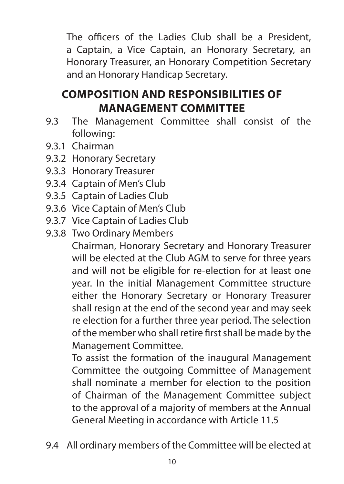The officers of the Ladies Club shall be a President, a Captain, a Vice Captain, an Honorary Secretary, an Honorary Treasurer, an Honorary Competition Secretary and an Honorary Handicap Secretary.

# **COMPOSITION AND RESPONSIBILITIES OF MANAGEMENT COMMITTEE**

- 9.3 The Management Committee shall consist of the following:
- 9.3.1 Chairman
- 9.3.2 Honorary Secretary
- 9.3.3 Honorary Treasurer
- 9.3.4 Captain of Men's Club
- 9.3.5 Captain of Ladies Club
- 9.3.6 Vice Captain of Men's Club
- 9.3.7 Vice Captain of Ladies Club
- 9.3.8 Two Ordinary Members

Chairman, Honorary Secretary and Honorary Treasurer will be elected at the Club AGM to serve for three years and will not be eligible for re-election for at least one year. In the initial Management Committee structure either the Honorary Secretary or Honorary Treasurer shall resign at the end of the second year and may seek re election for a further three year period. The selection of the member who shall retire first shall be made by the Management Committee.

To assist the formation of the inaugural Management Committee the outgoing Committee of Management shall nominate a member for election to the position of Chairman of the Management Committee subject to the approval of a majority of members at the Annual General Meeting in accordance with Article 11.5

9.4 All ordinary members of the Committee will be elected at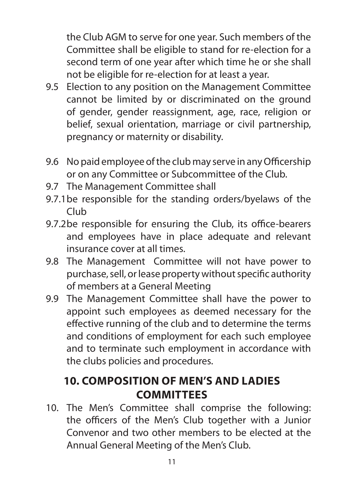the Club AGM to serve for one year. Such members of the Committee shall be eligible to stand for re-election for a second term of one year after which time he or she shall not be eligible for re-election for at least a year.

- 9.5 Election to any position on the Management Committee cannot be limited by or discriminated on the ground of gender, gender reassignment, age, race, religion or belief, sexual orientation, marriage or civil partnership, pregnancy or maternity or disability.
- 9.6 No paid employee of the club may serve in any Officership or on any Committee or Subcommittee of the Club.
- 9.7 The Management Committee shall
- 9.7.1be responsible for the standing orders/byelaws of the Club
- 9.7.2be responsible for ensuring the Club, its office-bearers and employees have in place adequate and relevant insurance cover at all times.
- 9.8 The Management Committee will not have power to purchase, sell, or lease property without specific authority of members at a General Meeting
- 9.9 The Management Committee shall have the power to appoint such employees as deemed necessary for the effective running of the club and to determine the terms and conditions of employment for each such employee and to terminate such employment in accordance with the clubs policies and procedures.

## **10. COMPOSITION OF MEN'S AND LADIES COMMITTEES**

10. The Men's Committee shall comprise the following: the officers of the Men's Club together with a Junior Convenor and two other members to be elected at the Annual General Meeting of the Men's Club.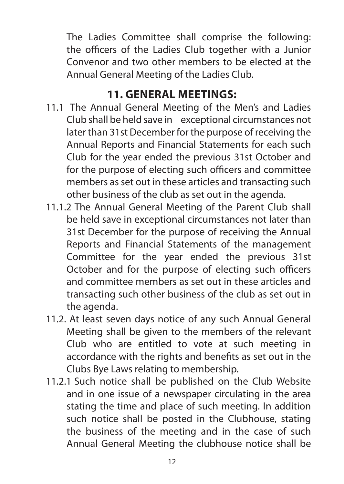The Ladies Committee shall comprise the following: the officers of the Ladies Club together with a Junior Convenor and two other members to be elected at the Annual General Meeting of the Ladies Club.

### **11. GENERAL MEETINGS:**

- 11.1 The Annual General Meeting of the Men's and Ladies Club shall be held save in exceptional circumstances not later than 31st December for the purpose of receiving the Annual Reports and Financial Statements for each such Club for the year ended the previous 31st October and for the purpose of electing such officers and committee members as set out in these articles and transacting such other business of the club as set out in the agenda.
- 11.1.2 The Annual General Meeting of the Parent Club shall be held save in exceptional circumstances not later than 31st December for the purpose of receiving the Annual Reports and Financial Statements of the management Committee for the year ended the previous 31st October and for the purpose of electing such officers and committee members as set out in these articles and transacting such other business of the club as set out in the agenda.
- 11.2. At least seven days notice of any such Annual General Meeting shall be given to the members of the relevant Club who are entitled to vote at such meeting in accordance with the rights and benefits as set out in the Clubs Bye Laws relating to membership.
- 11.2.1 Such notice shall be published on the Club Website and in one issue of a newspaper circulating in the area stating the time and place of such meeting. In addition such notice shall be posted in the Clubhouse, stating the business of the meeting and in the case of such Annual General Meeting the clubhouse notice shall be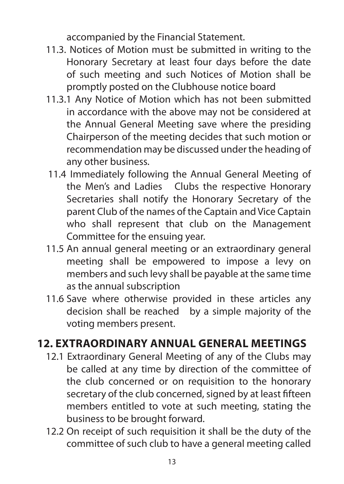accompanied by the Financial Statement.

- 11.3. Notices of Motion must be submitted in writing to the Honorary Secretary at least four days before the date of such meeting and such Notices of Motion shall be promptly posted on the Clubhouse notice board
- 11.3.1 Any Notice of Motion which has not been submitted in accordance with the above may not be considered at the Annual General Meeting save where the presiding Chairperson of the meeting decides that such motion or recommendation may be discussed under the heading of any other business.
- 11.4 Immediately following the Annual General Meeting of the Men's and Ladies Clubs the respective Honorary Secretaries shall notify the Honorary Secretary of the parent Club of the names of the Captain and Vice Captain who shall represent that club on the Management Committee for the ensuing year.
- 11.5 An annual general meeting or an extraordinary general meeting shall be empowered to impose a levy on members and such levy shall be payable at the same time as the annual subscription
- 11.6 Save where otherwise provided in these articles any decision shall be reached by a simple majority of the voting members present.

# **12. EXTRAORDINARY ANNUAL GENERAL MEETINGS**

- 12.1 Extraordinary General Meeting of any of the Clubs may be called at any time by direction of the committee of the club concerned or on requisition to the honorary secretary of the club concerned, signed by at least fifteen members entitled to vote at such meeting, stating the business to be brought forward.
- 12.2 On receipt of such requisition it shall be the duty of the committee of such club to have a general meeting called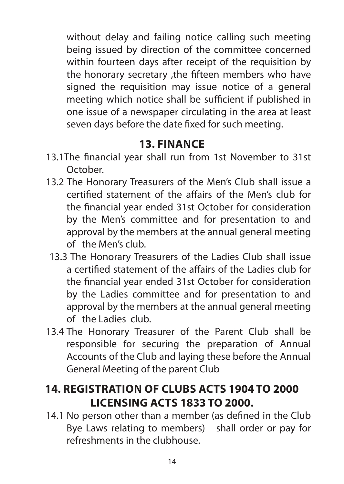without delay and failing notice calling such meeting being issued by direction of the committee concerned within fourteen days after receipt of the requisition by the honorary secretary ,the fifteen members who have signed the requisition may issue notice of a general meeting which notice shall be sufficient if published in one issue of a newspaper circulating in the area at least seven days before the date fixed for such meeting.

### **13. FINANCE**

- 13.1The financial year shall run from 1st November to 31st October.
- 13.2 The Honorary Treasurers of the Men's Club shall issue a certified statement of the affairs of the Men's club for the financial year ended 31st October for consideration by the Men's committee and for presentation to and approval by the members at the annual general meeting of the Men's club.
	- 13.3 The Honorary Treasurers of the Ladies Club shall issue a certified statement of the affairs of the Ladies club for the financial year ended 31st October for consideration by the Ladies committee and for presentation to and approval by the members at the annual general meeting of the Ladies club.
- 13.4 The Honorary Treasurer of the Parent Club shall be responsible for securing the preparation of Annual Accounts of the Club and laying these before the Annual General Meeting of the parent Club

# **14. REGISTRATION OF CLUBS ACTS 1904 TO 2000 LICENSING ACTS 1833 TO 2000.**

14.1 No person other than a member (as defined in the Club Bye Laws relating to members) shall order or pay for refreshments in the clubhouse.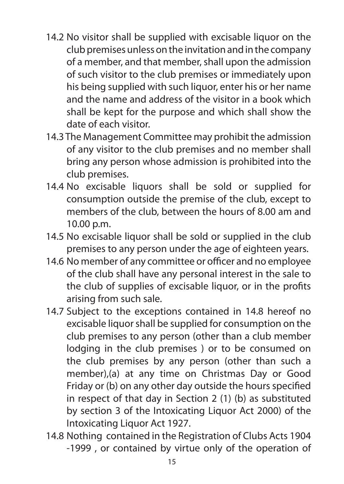- 14.2 No visitor shall be supplied with excisable liquor on the club premises unless on the invitation and in the company of a member, and that member, shall upon the admission of such visitor to the club premises or immediately upon his being supplied with such liquor, enter his or her name and the name and address of the visitor in a book which shall be kept for the purpose and which shall show the date of each visitor.
- 14.3 The Management Committee may prohibit the admission of any visitor to the club premises and no member shall bring any person whose admission is prohibited into the club premises.
- 14.4 No excisable liquors shall be sold or supplied for consumption outside the premise of the club, except to members of the club, between the hours of 8.00 am and 10.00 p.m.
- 14.5 No excisable liquor shall be sold or supplied in the club premises to any person under the age of eighteen years.
- 14.6 No member of any committee or officer and no employee of the club shall have any personal interest in the sale to the club of supplies of excisable liquor, or in the profits arising from such sale.
- 14.7 Subject to the exceptions contained in 14.8 hereof no excisable liquor shall be supplied for consumption on the club premises to any person (other than a club member lodging in the club premises ) or to be consumed on the club premises by any person (other than such a member),(a) at any time on Christmas Day or Good Friday or (b) on any other day outside the hours specified in respect of that day in Section 2 (1) (b) as substituted by section 3 of the Intoxicating Liquor Act 2000) of the Intoxicating Liquor Act 1927.
- 14.8 Nothing contained in the Registration of Clubs Acts 1904 -1999 , or contained by virtue only of the operation of